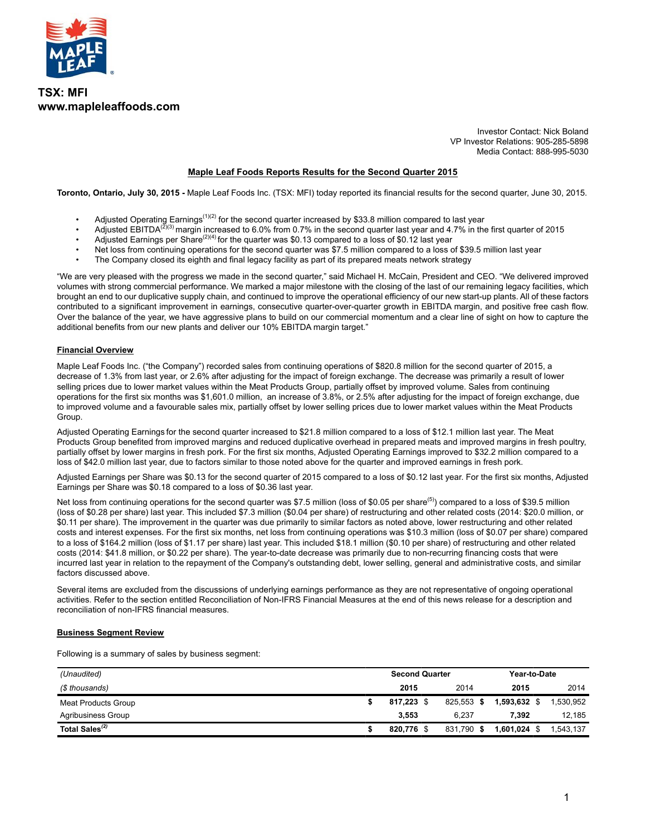

### **TSX: MFI www.mapleleaffoods.com**

Investor Contact: Nick Boland VP Investor Relations: 905-285-5898 Media Contact: 888-995-5030

#### **Maple Leaf Foods Reports Results for the Second Quarter 2015**

**Toronto, Ontario, July 30, 2015 -** Maple Leaf Foods Inc. (TSX: MFI) today reported its financial results for the second quarter, June 30, 2015.

- Adjusted Operating Earnings<sup>(1)(2)</sup> for the second quarter increased by \$33.8 million compared to last year
- Adjusted EBITDA<sup>(2)(3)</sup> margin increased to 6.0% from 0.7% in the second quarter last year and 4.7% in the first quarter of 2015
- Adjusted Earnings per Share<sup>(2)(4)</sup> for the quarter was \$0.13 compared to a loss of \$0.12 last year
- Net loss from continuing operations for the second quarter was \$7.5 million compared to a loss of \$39.5 million last year
- The Company closed its eighth and final legacy facility as part of its prepared meats network strategy

"We are very pleased with the progress we made in the second quarter," said Michael H. McCain, President and CEO. "We delivered improved volumes with strong commercial performance. We marked a major milestone with the closing of the last of our remaining legacy facilities, which brought an end to our duplicative supply chain, and continued to improve the operational efficiency of our new start-up plants. All of these factors contributed to a significant improvement in earnings, consecutive quarter-over-quarter growth in EBITDA margin, and positive free cash flow. Over the balance of the year, we have aggressive plans to build on our commercial momentum and a clear line of sight on how to capture the additional benefits from our new plants and deliver our 10% EBITDA margin target."

#### **Financial Overview**

Maple Leaf Foods Inc. ("the Company") recorded sales from continuing operations of \$820.8 million for the second quarter of 2015, a decrease of 1.3% from last year, or 2.6% after adjusting for the impact of foreign exchange. The decrease was primarily a result of lower selling prices due to lower market values within the Meat Products Group, partially offset by improved volume. Sales from continuing operations for the first six months was \$1,601.0 million, an increase of 3.8%, or 2.5% after adjusting for the impact of foreign exchange, due to improved volume and a favourable sales mix, partially offset by lower selling prices due to lower market values within the Meat Products Group.

Adjusted Operating Earnings for the second quarter increased to \$21.8 million compared to a loss of \$12.1 million last year. The Meat Products Group benefited from improved margins and reduced duplicative overhead in prepared meats and improved margins in fresh poultry, partially offset by lower margins in fresh pork. For the first six months, Adjusted Operating Earnings improved to \$32.2 million compared to a loss of \$42.0 million last year, due to factors similar to those noted above for the quarter and improved earnings in fresh pork.

Adjusted Earnings per Share was \$0.13 for the second quarter of 2015 compared to a loss of \$0.12 last year. For the first six months, Adjusted Earnings per Share was \$0.18 compared to a loss of \$0.36 last year.

Net loss from continuing operations for the second quarter was \$7.5 million (loss of \$0.05 per share<sup>(5)</sup>) compared to a loss of \$39.5 million (loss of \$0.28 per share) last year. This included \$7.3 million (\$0.04 per share) of restructuring and other related costs (2014: \$20.0 million, or \$0.11 per share). The improvement in the quarter was due primarily to similar factors as noted above, lower restructuring and other related costs and interest expenses. For the first six months, net loss from continuing operations was \$10.3 million (loss of \$0.07 per share) compared to a loss of \$164.2 million (loss of \$1.17 per share) last year. This included \$18.1 million (\$0.10 per share) of restructuring and other related costs (2014: \$41.8 million, or \$0.22 per share). The year-to-date decrease was primarily due to non-recurring financing costs that were incurred last year in relation to the repayment of the Company's outstanding debt, lower selling, general and administrative costs, and similar factors discussed above.

Several items are excluded from the discussions of underlying earnings performance as they are not representative of ongoing operational activities. Refer to the section entitled Reconciliation of Non-IFRS Financial Measures at the end of this news release for a description and reconciliation of non-IFRS financial measures.

#### **Business Segment Review**

Following is a summary of sales by business segment:

| (Unaudited)                | <b>Second Quarter</b> |  | Year-to-Date |  |              |  |           |
|----------------------------|-----------------------|--|--------------|--|--------------|--|-----------|
| (\$ thousands)             | 2015                  |  | 2014         |  | 2015         |  | 2014      |
| Meat Products Group        | 817.223 \$            |  | 825.553 \$   |  | 1,593,632 \$ |  | 1,530,952 |
| Agribusiness Group         | 3.553                 |  | 6.237        |  | 7.392        |  | 12,185    |
| Total Sales <sup>(2)</sup> | 820.776 \$            |  | 831.790 \$   |  | 1,601,024 \$ |  | 1,543,137 |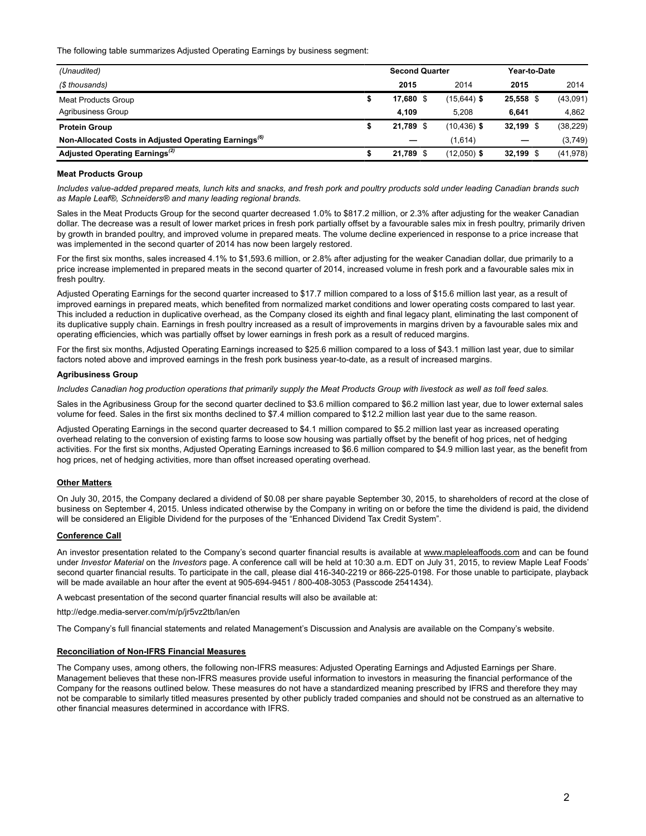The following table summarizes Adjusted Operating Earnings by business segment:

| (Unaudited)                                                       |   | <b>Second Quarter</b> |                | Year-to-Date |           |
|-------------------------------------------------------------------|---|-----------------------|----------------|--------------|-----------|
| (\$ thousands)                                                    |   | 2015                  | 2014           | 2015         | 2014      |
| <b>Meat Products Group</b>                                        | S | 17,680 \$             | $(15,644)$ \$  | 25,558 \$    | (43,091)  |
| <b>Agribusiness Group</b>                                         |   | 4.109                 | 5.208          | 6.641        | 4,862     |
| <b>Protein Group</b>                                              |   | 21,789 \$             | $(10, 436)$ \$ | 32,199 \$    | (38, 229) |
| Non-Allocated Costs in Adjusted Operating Earnings <sup>(6)</sup> |   | -                     | (1,614)        |              | (3,749)   |
| Adjusted Operating Earnings <sup>(2)</sup>                        |   | 21.789 \$             | $(12,050)$ \$  | $32,199$ \$  | (41, 978) |

#### **Meat Products Group**

*Includes value-added prepared meats, lunch kits and snacks, and fresh pork and poultry products sold under leading Canadian brands such as Maple Leaf®, Schneiders® and many leading regional brands.* 

Sales in the Meat Products Group for the second quarter decreased 1.0% to \$817.2 million, or 2.3% after adjusting for the weaker Canadian dollar. The decrease was a result of lower market prices in fresh pork partially offset by a favourable sales mix in fresh poultry, primarily driven by growth in branded poultry, and improved volume in prepared meats. The volume decline experienced in response to a price increase that was implemented in the second quarter of 2014 has now been largely restored.

For the first six months, sales increased 4.1% to \$1,593.6 million, or 2.8% after adjusting for the weaker Canadian dollar, due primarily to a price increase implemented in prepared meats in the second quarter of 2014, increased volume in fresh pork and a favourable sales mix in fresh poultry.

Adjusted Operating Earnings for the second quarter increased to \$17.7 million compared to a loss of \$15.6 million last year, as a result of improved earnings in prepared meats, which benefited from normalized market conditions and lower operating costs compared to last year. This included a reduction in duplicative overhead, as the Company closed its eighth and final legacy plant, eliminating the last component of its duplicative supply chain. Earnings in fresh poultry increased as a result of improvements in margins driven by a favourable sales mix and operating efficiencies, which was partially offset by lower earnings in fresh pork as a result of reduced margins.

For the first six months, Adjusted Operating Earnings increased to \$25.6 million compared to a loss of \$43.1 million last year, due to similar factors noted above and improved earnings in the fresh pork business year-to-date, as a result of increased margins.

#### **Agribusiness Group**

*Includes Canadian hog production operations that primarily supply the Meat Products Group with livestock as well as toll feed sales.* 

Sales in the Agribusiness Group for the second quarter declined to \$3.6 million compared to \$6.2 million last year, due to lower external sales volume for feed. Sales in the first six months declined to \$7.4 million compared to \$12.2 million last year due to the same reason.

Adjusted Operating Earnings in the second quarter decreased to \$4.1 million compared to \$5.2 million last year as increased operating overhead relating to the conversion of existing farms to loose sow housing was partially offset by the benefit of hog prices, net of hedging activities. For the first six months, Adjusted Operating Earnings increased to \$6.6 million compared to \$4.9 million last year, as the benefit from hog prices, net of hedging activities, more than offset increased operating overhead.

#### **Other Matters**

On July 30, 2015, the Company declared a dividend of \$0.08 per share payable September 30, 2015, to shareholders of record at the close of business on September 4, 2015. Unless indicated otherwise by the Company in writing on or before the time the dividend is paid, the dividend will be considered an Eligible Dividend for the purposes of the "Enhanced Dividend Tax Credit System".

#### **Conference Call**

An investor presentation related to the Company's second quarter financial results is available at www.mapleleaffoods.com and can be found under *Investor Material* on the *Investors* page. A conference call will be held at 10:30 a.m. EDT on July 31, 2015, to review Maple Leaf Foods' second quarter financial results. To participate in the call, please dial 416-340-2219 or 866-225-0198. For those unable to participate, playback will be made available an hour after the event at 905-694-9451 / 800-408-3053 (Passcode 2541434).

A webcast presentation of the second quarter financial results will also be available at:

http://edge.media-server.com/m/p/jr5vz2tb/lan/en

The Company's full financial statements and related Management's Discussion and Analysis are available on the Company's website.

#### **Reconciliation of Non-IFRS Financial Measures**

The Company uses, among others, the following non-IFRS measures: Adjusted Operating Earnings and Adjusted Earnings per Share. Management believes that these non-IFRS measures provide useful information to investors in measuring the financial performance of the Company for the reasons outlined below. These measures do not have a standardized meaning prescribed by IFRS and therefore they may not be comparable to similarly titled measures presented by other publicly traded companies and should not be construed as an alternative to other financial measures determined in accordance with IFRS.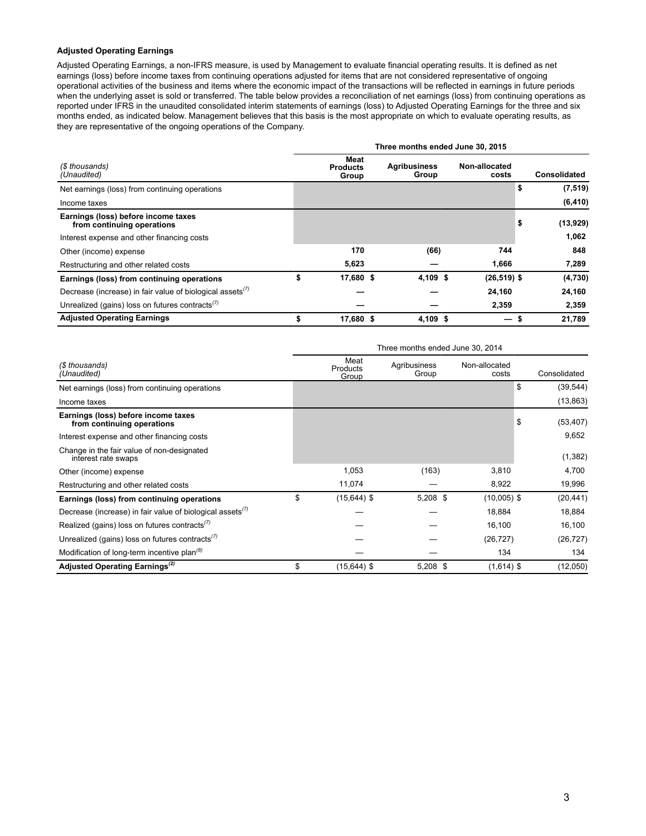#### **Adjusted Operating Earnings**

Adjusted Operating Earnings, a non-IFRS measure, is used by Management to evaluate financial operating results. It is defined as net earnings (loss) before income taxes from continuing operations adjusted for items that are not considered representative of ongoing operational activities of the business and items where the economic impact of the transactions will be reflected in earnings in future periods when the underlying asset is sold or transferred. The table below provides a reconciliation of net earnings (loss) from continuing operations as reported under IFRS in the unaudited consolidated interim statements of earnings (loss) to Adjusted Operating Earnings for the three and six months ended, as indicated below. Management believes that this basis is the most appropriate on which to evaluate operating results, as they are representative of the ongoing operations of the Company.

|                                                                       | Three months ended June 30, 2015 |                                  |  |                              |  |                        |    |                     |  |  |  |  |  |
|-----------------------------------------------------------------------|----------------------------------|----------------------------------|--|------------------------------|--|------------------------|----|---------------------|--|--|--|--|--|
| (\$ thousands)<br>(Unaudited)                                         |                                  | Meat<br><b>Products</b><br>Group |  | <b>Agribusiness</b><br>Group |  | Non-allocated<br>costs |    | <b>Consolidated</b> |  |  |  |  |  |
| Net earnings (loss) from continuing operations                        |                                  |                                  |  |                              |  |                        | \$ | (7, 519)            |  |  |  |  |  |
| Income taxes                                                          |                                  |                                  |  |                              |  |                        |    | (6, 410)            |  |  |  |  |  |
| Earnings (loss) before income taxes<br>from continuing operations     |                                  |                                  |  |                              |  |                        | \$ | (13,929)            |  |  |  |  |  |
| Interest expense and other financing costs                            |                                  |                                  |  |                              |  |                        |    | 1,062               |  |  |  |  |  |
| Other (income) expense                                                |                                  | 170                              |  | (66)                         |  | 744                    |    | 848                 |  |  |  |  |  |
| Restructuring and other related costs                                 |                                  | 5,623                            |  |                              |  | 1,666                  |    | 7,289               |  |  |  |  |  |
| Earnings (loss) from continuing operations                            | \$                               | 17,680 \$                        |  | 4,109 \$                     |  | $(26, 519)$ \$         |    | (4,730)             |  |  |  |  |  |
| Decrease (increase) in fair value of biological assets <sup>(1)</sup> |                                  |                                  |  |                              |  | 24,160                 |    | 24,160              |  |  |  |  |  |
| Unrealized (gains) loss on futures contracts <sup>(7)</sup>           |                                  |                                  |  |                              |  | 2,359                  |    | 2,359               |  |  |  |  |  |
| <b>Adjusted Operating Earnings</b>                                    | \$                               | 17,680 \$                        |  | 4,109 \$                     |  | $\equiv$               | S  | 21.789              |  |  |  |  |  |

|                                                                       | Three months ended June 30, 2014 |                       |                        |              |  |  |  |  |  |  |  |
|-----------------------------------------------------------------------|----------------------------------|-----------------------|------------------------|--------------|--|--|--|--|--|--|--|
| (\$ thousands)<br>(Unaudited)                                         | Meat<br>Products<br>Group        | Agribusiness<br>Group | Non-allocated<br>costs | Consolidated |  |  |  |  |  |  |  |
| Net earnings (loss) from continuing operations                        |                                  |                       | \$                     | (39, 544)    |  |  |  |  |  |  |  |
| Income taxes                                                          |                                  |                       |                        | (13, 863)    |  |  |  |  |  |  |  |
| Earnings (loss) before income taxes<br>from continuing operations     |                                  |                       | \$                     | (53, 407)    |  |  |  |  |  |  |  |
| Interest expense and other financing costs                            |                                  |                       |                        | 9,652        |  |  |  |  |  |  |  |
| Change in the fair value of non-designated<br>interest rate swaps     |                                  |                       |                        | (1,382)      |  |  |  |  |  |  |  |
| Other (income) expense                                                | 1,053                            | (163)                 | 3,810                  | 4,700        |  |  |  |  |  |  |  |
| Restructuring and other related costs                                 | 11,074                           |                       | 8,922                  | 19,996       |  |  |  |  |  |  |  |
| Earnings (loss) from continuing operations                            | \$<br>$(15, 644)$ \$             | $5,208$ \$            | $(10,005)$ \$          | (20, 441)    |  |  |  |  |  |  |  |
| Decrease (increase) in fair value of biological assets <sup>(7)</sup> |                                  |                       | 18,884                 | 18,884       |  |  |  |  |  |  |  |
| Realized (gains) loss on futures contracts <sup>(7)</sup>             |                                  |                       | 16,100                 | 16,100       |  |  |  |  |  |  |  |
| Unrealized (gains) loss on futures contracts $(7)$                    |                                  |                       | (26, 727)              | (26, 727)    |  |  |  |  |  |  |  |
| Modification of long-term incentive plan <sup>(8)</sup>               |                                  |                       | 134                    | 134          |  |  |  |  |  |  |  |
| Adjusted Operating Earnings <sup>(2)</sup>                            | \$<br>$(15,644)$ \$              | $5,208$ \$            | $(1,614)$ \$           | (12,050)     |  |  |  |  |  |  |  |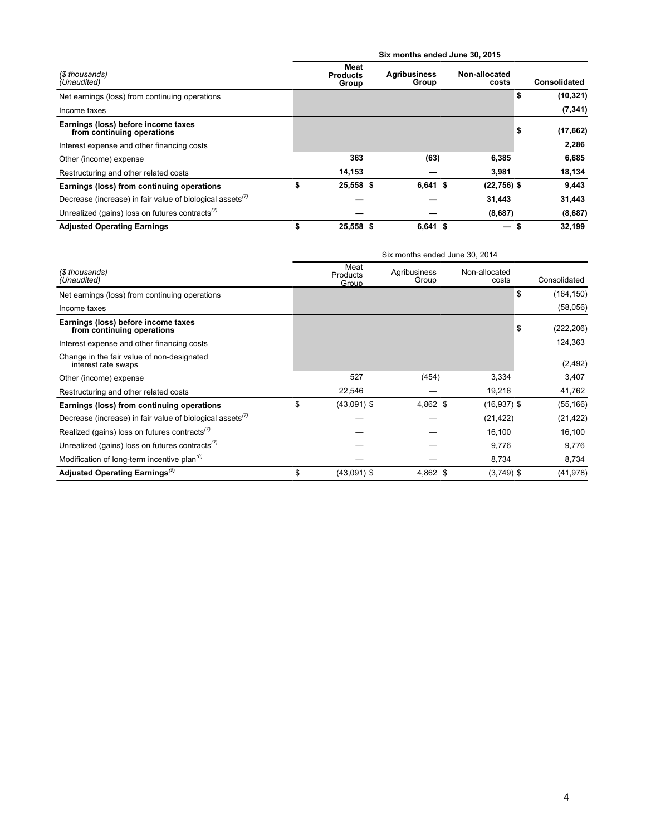|                                                                   |                                  | Six months ended June 30, 2015 |                        |                 |
|-------------------------------------------------------------------|----------------------------------|--------------------------------|------------------------|-----------------|
| (\$ thousands)<br>(Unaudited)                                     | Meat<br><b>Products</b><br>Group | <b>Agribusiness</b><br>Group   | Non-allocated<br>costs | Consolidated    |
| Net earnings (loss) from continuing operations                    |                                  |                                |                        | \$<br>(10, 321) |
| Income taxes                                                      |                                  |                                |                        | (7, 341)        |
| Earnings (loss) before income taxes<br>from continuing operations |                                  |                                |                        | \$<br>(17,662)  |
| Interest expense and other financing costs                        |                                  |                                |                        | 2,286           |
| Other (income) expense                                            | 363                              | (63)                           | 6,385                  | 6,685           |
| Restructuring and other related costs                             | 14,153                           |                                | 3,981                  | 18,134          |
| Earnings (loss) from continuing operations                        | \$<br>25,558 \$                  | $6,641$ \$                     | $(22, 756)$ \$         | 9,443           |
| Decrease (increase) in fair value of biological assets $(7)$      |                                  |                                | 31,443                 | 31,443          |
| Unrealized (gains) loss on futures contracts $(7)$                |                                  |                                | (8,687)                | (8,687)         |
| <b>Adjusted Operating Earnings</b>                                | \$<br>25,558 \$                  | $6,641$ \$                     | —                      | \$<br>32,199    |

|                                                                       |                           | Six months ended June 30, 2014 |                        |                  |
|-----------------------------------------------------------------------|---------------------------|--------------------------------|------------------------|------------------|
| (\$ thousands)<br>(Unaudited)                                         | Meat<br>Products<br>Group | Agribusiness<br>Group          | Non-allocated<br>costs | Consolidated     |
| Net earnings (loss) from continuing operations                        |                           |                                |                        | \$<br>(164, 150) |
| Income taxes                                                          |                           |                                |                        | (58,056)         |
| Earnings (loss) before income taxes<br>from continuing operations     |                           |                                |                        | \$<br>(222, 206) |
| Interest expense and other financing costs                            |                           |                                |                        | 124,363          |
| Change in the fair value of non-designated<br>interest rate swaps     |                           |                                |                        | (2, 492)         |
| Other (income) expense                                                | 527                       | (454)                          | 3,334                  | 3,407            |
| Restructuring and other related costs                                 | 22,546                    |                                | 19,216                 | 41,762           |
| Earnings (loss) from continuing operations                            | \$<br>$(43,091)$ \$       | 4,862 \$                       | $(16,937)$ \$          | (55, 166)        |
| Decrease (increase) in fair value of biological assets <sup>(7)</sup> |                           |                                | (21, 422)              | (21, 422)        |
| Realized (gains) loss on futures contracts <sup>(7)</sup>             |                           |                                | 16,100                 | 16,100           |
| Unrealized (gains) loss on futures contracts <sup>(7)</sup>           |                           |                                | 9,776                  | 9,776            |
| Modification of long-term incentive plan <sup>(8)</sup>               |                           |                                | 8,734                  | 8,734            |
| Adjusted Operating Earnings <sup>(2)</sup>                            | \$<br>$(43,091)$ \$       | 4,862 \$                       | $(3,749)$ \$           | (41, 978)        |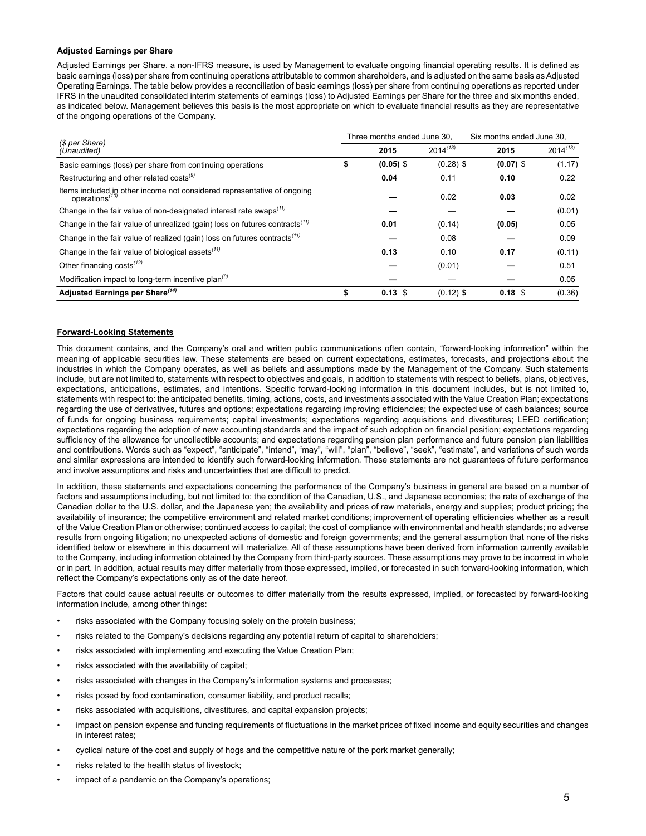#### **Adjusted Earnings per Share**

Adjusted Earnings per Share, a non-IFRS measure, is used by Management to evaluate ongoing financial operating results. It is defined as basic earnings (loss) per share from continuing operations attributable to common shareholders, and is adjusted on the same basis as Adjusted Operating Earnings. The table below provides a reconciliation of basic earnings (loss) per share from continuing operations as reported under IFRS in the unaudited consolidated interim statements of earnings (loss) to Adjusted Earnings per Share for the three and six months ended, as indicated below. Management believes this basis is the most appropriate on which to evaluate financial results as they are representative of the ongoing operations of the Company.

| (\$ per Share)                                                                                        |   | Three months ended June 30, |               | Six months ended June 30, |               |
|-------------------------------------------------------------------------------------------------------|---|-----------------------------|---------------|---------------------------|---------------|
| (Unaudited)                                                                                           |   | 2015                        | $2014^{(13)}$ | 2015                      | $2014^{(13)}$ |
| Basic earnings (loss) per share from continuing operations                                            |   | $(0.05)$ \$                 | $(0.28)$ \$   | $(0.07)$ \$               | (1.17)        |
| Restructuring and other related costs <sup>(9)</sup>                                                  |   | 0.04                        | 0.11          | 0.10                      | 0.22          |
| Items included in other income not considered representative of ongoing<br>operations <sup>(10)</sup> |   |                             | 0.02          | 0.03                      | 0.02          |
| Change in the fair value of non-designated interest rate swaps <sup>(11)</sup>                        |   |                             |               |                           | (0.01)        |
| Change in the fair value of unrealized (gain) loss on futures contracts <sup>(11)</sup>               |   | 0.01                        | (0.14)        | (0.05)                    | 0.05          |
| Change in the fair value of realized (gain) loss on futures contracts <sup>(11)</sup>                 |   |                             | 0.08          |                           | 0.09          |
| Change in the fair value of biological assets $(11)$                                                  |   | 0.13                        | 0.10          | 0.17                      | (0.11)        |
| Other financing costs <sup>(12)</sup>                                                                 |   |                             | (0.01)        |                           | 0.51          |
| Modification impact to long-term incentive plan <sup>(8)</sup>                                        |   |                             |               |                           | 0.05          |
| Adjusted Earnings per Share <sup>(14)</sup>                                                           | S | $0.13$ \$                   | $(0.12)$ \$   | $0.18$ \$                 | (0.36)        |

#### **Forward-Looking Statements**

This document contains, and the Company's oral and written public communications often contain, "forward-looking information" within the meaning of applicable securities law. These statements are based on current expectations, estimates, forecasts, and projections about the industries in which the Company operates, as well as beliefs and assumptions made by the Management of the Company. Such statements include, but are not limited to, statements with respect to objectives and goals, in addition to statements with respect to beliefs, plans, objectives, expectations, anticipations, estimates, and intentions. Specific forward-looking information in this document includes, but is not limited to, statements with respect to: the anticipated benefits, timing, actions, costs, and investments associated with the Value Creation Plan; expectations regarding the use of derivatives, futures and options; expectations regarding improving efficiencies; the expected use of cash balances; source of funds for ongoing business requirements; capital investments; expectations regarding acquisitions and divestitures; LEED certification; expectations regarding the adoption of new accounting standards and the impact of such adoption on financial position; expectations regarding sufficiency of the allowance for uncollectible accounts; and expectations regarding pension plan performance and future pension plan liabilities and contributions. Words such as "expect", "anticipate", "intend", "may", "will", "plan", "believe", "seek", "estimate", and variations of such words and similar expressions are intended to identify such forward-looking information. These statements are not guarantees of future performance and involve assumptions and risks and uncertainties that are difficult to predict.

In addition, these statements and expectations concerning the performance of the Company's business in general are based on a number of factors and assumptions including, but not limited to: the condition of the Canadian, U.S., and Japanese economies; the rate of exchange of the Canadian dollar to the U.S. dollar, and the Japanese yen; the availability and prices of raw materials, energy and supplies; product pricing; the availability of insurance; the competitive environment and related market conditions; improvement of operating efficiencies whether as a result of the Value Creation Plan or otherwise; continued access to capital; the cost of compliance with environmental and health standards; no adverse results from ongoing litigation; no unexpected actions of domestic and foreign governments; and the general assumption that none of the risks identified below or elsewhere in this document will materialize. All of these assumptions have been derived from information currently available to the Company, including information obtained by the Company from third-party sources. These assumptions may prove to be incorrect in whole or in part. In addition, actual results may differ materially from those expressed, implied, or forecasted in such forward-looking information, which reflect the Company's expectations only as of the date hereof.

Factors that could cause actual results or outcomes to differ materially from the results expressed, implied, or forecasted by forward-looking information include, among other things:

- risks associated with the Company focusing solely on the protein business;
- risks related to the Company's decisions regarding any potential return of capital to shareholders;
- risks associated with implementing and executing the Value Creation Plan;
- risks associated with the availability of capital;
- risks associated with changes in the Company's information systems and processes;
- risks posed by food contamination, consumer liability, and product recalls;
- risks associated with acquisitions, divestitures, and capital expansion projects;
- impact on pension expense and funding requirements of fluctuations in the market prices of fixed income and equity securities and changes in interest rates;
- cyclical nature of the cost and supply of hogs and the competitive nature of the pork market generally;
- risks related to the health status of livestock;
- impact of a pandemic on the Company's operations;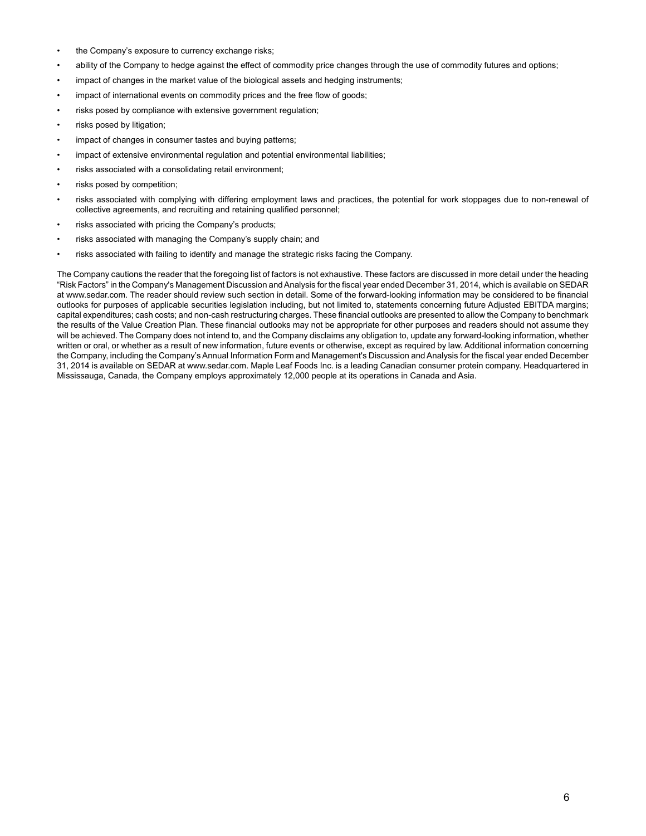- the Company's exposure to currency exchange risks;
- ability of the Company to hedge against the effect of commodity price changes through the use of commodity futures and options;
- impact of changes in the market value of the biological assets and hedging instruments;
- impact of international events on commodity prices and the free flow of goods;
- risks posed by compliance with extensive government regulation;
- risks posed by litigation;
- impact of changes in consumer tastes and buying patterns;
- impact of extensive environmental regulation and potential environmental liabilities;
- risks associated with a consolidating retail environment;
- risks posed by competition;
- risks associated with complying with differing employment laws and practices, the potential for work stoppages due to non-renewal of collective agreements, and recruiting and retaining qualified personnel;
- risks associated with pricing the Company's products;
- risks associated with managing the Company's supply chain; and
- risks associated with failing to identify and manage the strategic risks facing the Company.

The Company cautions the reader that the foregoing list of factors is not exhaustive. These factors are discussed in more detail under the heading "Risk Factors" in the Company's Management Discussion and Analysis for the fiscal year ended December 31, 2014, which is available on SEDAR at www.sedar.com. The reader should review such section in detail. Some of the forward-looking information may be considered to be financial outlooks for purposes of applicable securities legislation including, but not limited to, statements concerning future Adjusted EBITDA margins; capital expenditures; cash costs; and non-cash restructuring charges. These financial outlooks are presented to allow the Company to benchmark the results of the Value Creation Plan. These financial outlooks may not be appropriate for other purposes and readers should not assume they will be achieved. The Company does not intend to, and the Company disclaims any obligation to, update any forward-looking information, whether written or oral, or whether as a result of new information, future events or otherwise, except as required by law. Additional information concerning the Company, including the Company's Annual Information Form and Management's Discussion and Analysis for the fiscal year ended December 31, 2014 is available on SEDAR at www.sedar.com. Maple Leaf Foods Inc. is a leading Canadian consumer protein company. Headquartered in Mississauga, Canada, the Company employs approximately 12,000 people at its operations in Canada and Asia.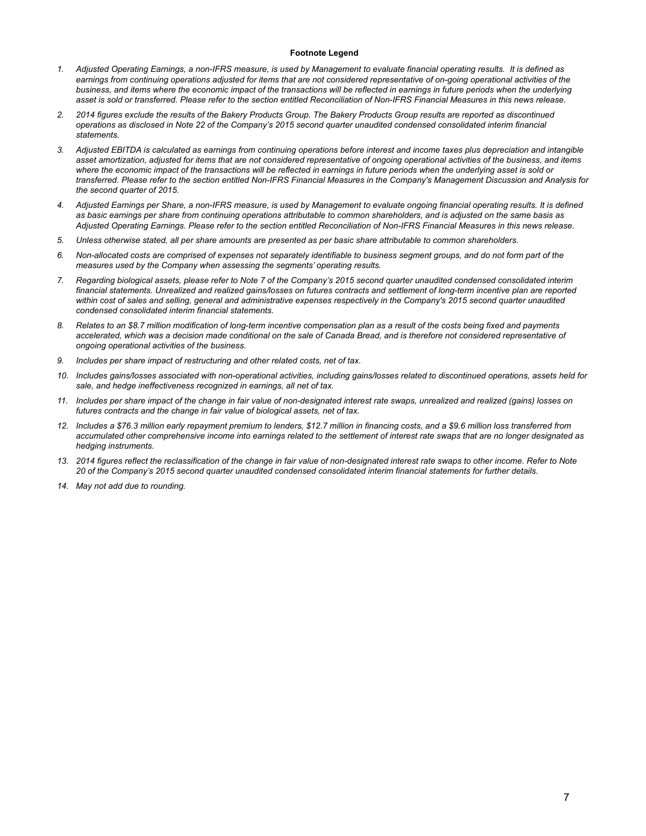#### **Footnote Legend**

- *1. Adjusted Operating Earnings, a non-IFRS measure, is used by Management to evaluate financial operating results. It is defined as earnings from continuing operations adjusted for items that are not considered representative of on-going operational activities of the business, and items where the economic impact of the transactions will be reflected in earnings in future periods when the underlying asset is sold or transferred. Please refer to the section entitled Reconciliation of Non-IFRS Financial Measures in this news release.*
- *2. 2014 figures exclude the results of the Bakery Products Group. The Bakery Products Group results are reported as discontinued operations as disclosed in Note 22 of the Company's 2015 second quarter unaudited condensed consolidated interim financial statements.*
- *3. Adjusted EBITDA is calculated as earnings from continuing operations before interest and income taxes plus depreciation and intangible asset amortization, adjusted for items that are not considered representative of ongoing operational activities of the business, and items where the economic impact of the transactions will be reflected in earnings in future periods when the underlying asset is sold or transferred. Please refer to the section entitled Non-IFRS Financial Measures in the Company's Management Discussion and Analysis for the second quarter of 2015.*
- *4. Adjusted Earnings per Share, a non-IFRS measure, is used by Management to evaluate ongoing financial operating results. It is defined as basic earnings per share from continuing operations attributable to common shareholders, and is adjusted on the same basis as Adjusted Operating Earnings. Please refer to the section entitled Reconciliation of Non-IFRS Financial Measures in this news release.*
- *5. Unless otherwise stated, all per share amounts are presented as per basic share attributable to common shareholders.*
- *6. Non-allocated costs are comprised of expenses not separately identifiable to business segment groups, and do not form part of the measures used by the Company when assessing the segments' operating results.*
- *7. Regarding biological assets, please refer to Note 7 of the Company's 2015 second quarter unaudited condensed consolidated interim financial statements. Unrealized and realized gains/losses on futures contracts and settlement of long-term incentive plan are reported within cost of sales and selling, general and administrative expenses respectively in the Company's 2015 second quarter unaudited condensed consolidated interim financial statements.*
- *8. Relates to an \$8.7 million modification of long-term incentive compensation plan as a result of the costs being fixed and payments accelerated, which was a decision made conditional on the sale of Canada Bread, and is therefore not considered representative of ongoing operational activities of the business.*
- *9. Includes per share impact of restructuring and other related costs, net of tax.*
- *10. Includes gains/losses associated with non-operational activities, including gains/losses related to discontinued operations, assets held for sale, and hedge ineffectiveness recognized in earnings, all net of tax.*
- *11. Includes per share impact of the change in fair value of non-designated interest rate swaps, unrealized and realized (gains) losses on futures contracts and the change in fair value of biological assets, net of tax.*
- *12. Includes a \$76.3 million early repayment premium to lenders, \$12.7 million in financing costs, and a \$9.6 million loss transferred from accumulated other comprehensive income into earnings related to the settlement of interest rate swaps that are no longer designated as hedging instruments.*
- *13. 2014 figures reflect the reclassification of the change in fair value of non-designated interest rate swaps to other income. Refer to Note 20 of the Company's 2015 second quarter unaudited condensed consolidated interim financial statements for further details.*
- *14. May not add due to rounding.*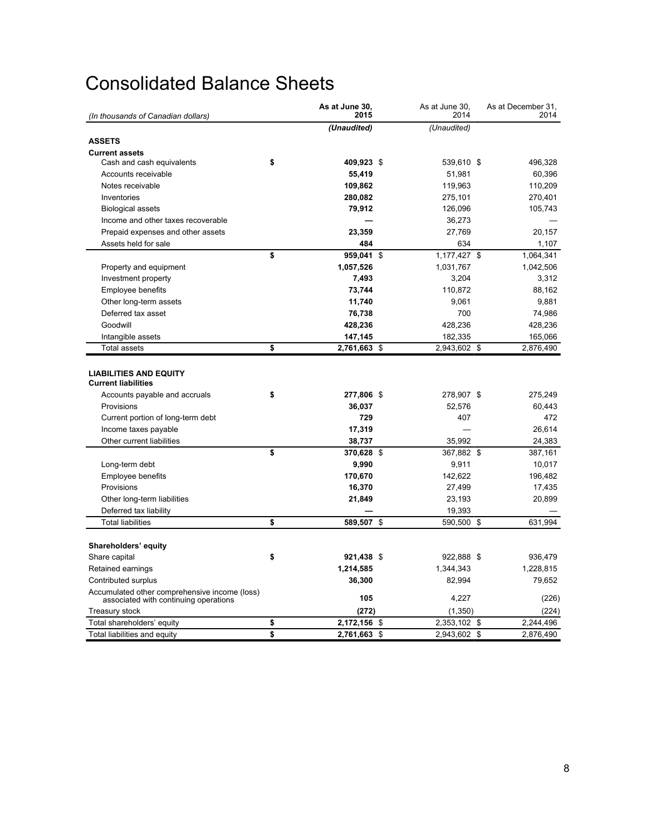### Consolidated Balance Sheets

| (In thousands of Canadian dollars)                                                           | As at June 30,<br>2015     | As at June 30,<br>2014 | As at December 31,<br>2014 |
|----------------------------------------------------------------------------------------------|----------------------------|------------------------|----------------------------|
|                                                                                              | (Unaudited)                | (Unaudited)            |                            |
| <b>ASSETS</b>                                                                                |                            |                        |                            |
| <b>Current assets</b>                                                                        |                            |                        |                            |
| Cash and cash equivalents                                                                    | \$<br>409,923 \$           | 539,610 \$             | 496,328                    |
| Accounts receivable                                                                          | 55,419                     | 51,981                 | 60,396                     |
| Notes receivable                                                                             | 109,862                    | 119,963                | 110,209                    |
| Inventories                                                                                  | 280,082                    | 275,101                | 270,401                    |
| <b>Biological assets</b>                                                                     | 79,912                     | 126,096                | 105,743                    |
| Income and other taxes recoverable                                                           |                            | 36,273                 |                            |
| Prepaid expenses and other assets                                                            | 23,359                     | 27,769                 | 20,157                     |
| Assets held for sale                                                                         | 484                        | 634                    | 1,107                      |
|                                                                                              | \$<br>959,041 \$           | 1,177,427 \$           | 1,064,341                  |
| Property and equipment                                                                       | 1,057,526                  | 1,031,767              | 1,042,506                  |
| Investment property                                                                          | 7,493                      | 3,204                  | 3,312                      |
| Employee benefits                                                                            | 73,744                     | 110,872                | 88,162                     |
| Other long-term assets                                                                       | 11,740                     | 9,061                  | 9,881                      |
| Deferred tax asset                                                                           | 76,738                     | 700                    | 74,986                     |
| Goodwill                                                                                     | 428,236                    | 428,236                | 428,236                    |
| Intangible assets                                                                            | 147,145                    | 182,335                | 165,066                    |
| <b>Total assets</b>                                                                          | \$<br>2,761,663 \$         | 2,943,602 \$           | 2,876,490                  |
| <b>LIABILITIES AND EQUITY</b><br><b>Current liabilities</b><br>Accounts payable and accruals | \$<br>277,806 \$           | 278,907 \$             | 275,249                    |
| Provisions                                                                                   | 36,037                     | 52,576                 | 60,443                     |
| Current portion of long-term debt                                                            | 729                        | 407                    | 472                        |
| Income taxes payable<br>Other current liabilities                                            | 17,319                     | 35,992                 | 26,614                     |
|                                                                                              | \$<br>38,737<br>370,628 \$ | 367,882 \$             | 24,383                     |
| Long-term debt                                                                               | 9,990                      | 9,911                  | 387,161<br>10,017          |
| Employee benefits                                                                            | 170,670                    | 142,622                | 196,482                    |
| Provisions                                                                                   | 16,370                     | 27,499                 | 17,435                     |
| Other long-term liabilities                                                                  | 21,849                     | 23,193                 | 20,899                     |
| Deferred tax liability                                                                       |                            | 19,393                 |                            |
| <b>Total liabilities</b>                                                                     | \$<br>589,507 \$           | 590,500 \$             | 631,994                    |
|                                                                                              |                            |                        |                            |
| Shareholders' equity                                                                         |                            |                        |                            |
| Share capital                                                                                | \$<br>921,438 \$           | 922,888 \$             | 936,479                    |
| Retained earnings                                                                            | 1,214,585                  | 1,344,343              | 1,228,815                  |
| Contributed surplus                                                                          | 36,300                     | 82,994                 | 79,652                     |
| Accumulated other comprehensive income (loss)<br>associated with continuing operations       | 105                        | 4,227                  | (226)                      |
| <b>Treasury stock</b>                                                                        | (272)                      | (1, 350)               | (224)                      |
| Total shareholders' equity                                                                   | \$<br>2,172,156 \$         | 2,353,102 \$           | 2,244,496                  |
| Total liabilities and equity                                                                 | \$<br>2,761,663 \$         | 2,943,602 \$           | 2,876,490                  |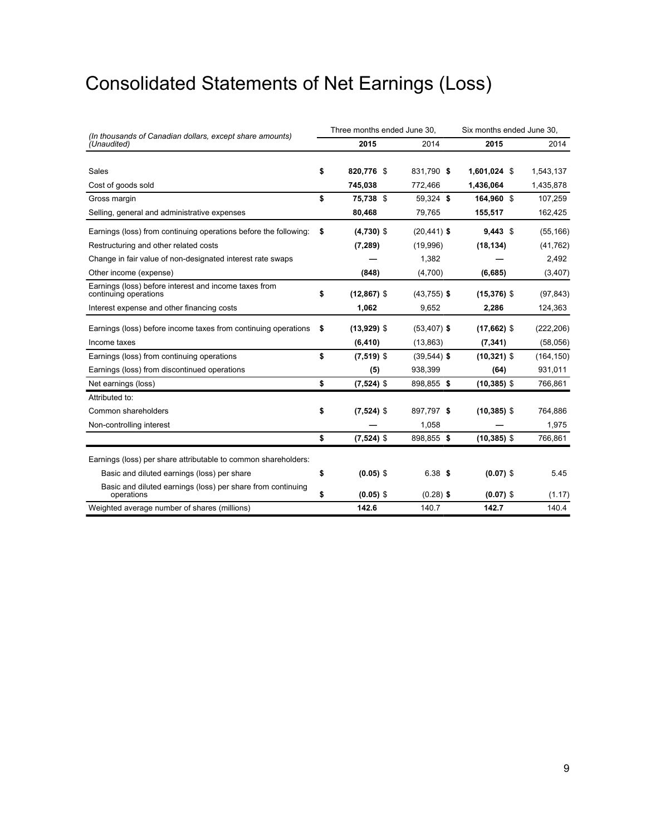## Consolidated Statements of Net Earnings (Loss)

| (In thousands of Canadian dollars, except share amounts)                       | Three months ended June 30. |                | Six months ended June 30. |            |
|--------------------------------------------------------------------------------|-----------------------------|----------------|---------------------------|------------|
| (Unaudited)                                                                    | 2015                        | 2014           | 2015                      | 2014       |
|                                                                                |                             |                |                           |            |
| Sales                                                                          | \$<br>820,776 \$            | 831.790 \$     | 1,601,024 \$              | 1,543,137  |
| Cost of goods sold                                                             | 745,038                     | 772,466        | 1,436,064                 | 1,435,878  |
| Gross margin                                                                   | \$<br>75,738 \$             | 59,324 \$      | 164,960 \$                | 107,259    |
| Selling, general and administrative expenses                                   | 80,468                      | 79,765         | 155,517                   | 162,425    |
| Earnings (loss) from continuing operations before the following:               | \$<br>$(4,730)$ \$          | $(20, 441)$ \$ | $9.443$ \$                | (55, 166)  |
| Restructuring and other related costs                                          | (7, 289)                    | (19,996)       | (18, 134)                 | (41, 762)  |
| Change in fair value of non-designated interest rate swaps                     |                             | 1,382          |                           | 2,492      |
| Other income (expense)                                                         | (848)                       | (4,700)        | (6,685)                   | (3,407)    |
| Earnings (loss) before interest and income taxes from<br>continuing operations | \$<br>$(12, 867)$ \$        | $(43,755)$ \$  | $(15, 376)$ \$            | (97, 843)  |
| Interest expense and other financing costs                                     | 1,062                       | 9,652          | 2,286                     | 124,363    |
| Earnings (loss) before income taxes from continuing operations                 | \$<br>$(13,929)$ \$         | $(53, 407)$ \$ | $(17,662)$ \$             | (222, 206) |
| Income taxes                                                                   | (6, 410)                    | (13, 863)      | (7, 341)                  | (58,056)   |
| Earnings (loss) from continuing operations                                     | \$<br>$(7,519)$ \$          | $(39, 544)$ \$ | $(10, 321)$ \$            | (164, 150) |
| Earnings (loss) from discontinued operations                                   | (5)                         | 938,399        | (64)                      | 931,011    |
| Net earnings (loss)                                                            | \$<br>$(7,524)$ \$          | 898,855 \$     | $(10, 385)$ \$            | 766,861    |
| Attributed to:                                                                 |                             |                |                           |            |
| Common shareholders                                                            | \$<br>$(7,524)$ \$          | 897,797 \$     | $(10, 385)$ \$            | 764,886    |
| Non-controlling interest                                                       |                             | 1,058          |                           | 1,975      |
|                                                                                | \$<br>$(7,524)$ \$          | 898,855 \$     | $(10, 385)$ \$            | 766,861    |
| Earnings (loss) per share attributable to common shareholders:                 |                             |                |                           |            |
| Basic and diluted earnings (loss) per share                                    | \$<br>$(0.05)$ \$           | $6.38$ \$      | $(0.07)$ \$               | 5.45       |
| Basic and diluted earnings (loss) per share from continuing<br>operations      | \$<br>$(0.05)$ \$           | $(0.28)$ \$    | $(0.07)$ \$               | (1.17)     |
| Weighted average number of shares (millions)                                   | 142.6                       | 140.7          | 142.7                     | 140.4      |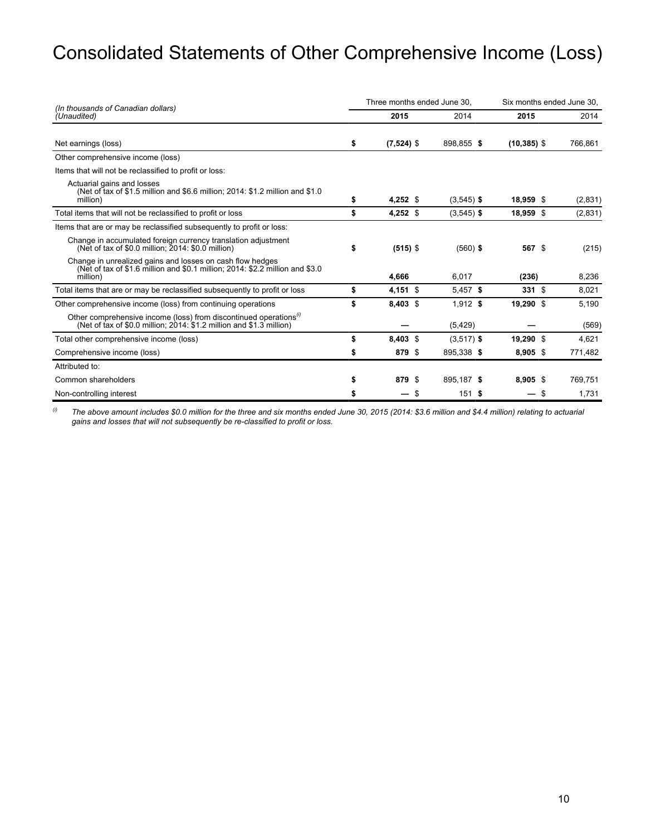# Consolidated Statements of Other Comprehensive Income (Loss)

| (In thousands of Canadian dollars)                                                                                                                     |    |              | Three months ended June 30. | Six months ended June 30. |      |         |  |  |  |
|--------------------------------------------------------------------------------------------------------------------------------------------------------|----|--------------|-----------------------------|---------------------------|------|---------|--|--|--|
| (Unaudited)                                                                                                                                            |    | 2015         | 2014                        | 2015                      |      | 2014    |  |  |  |
| Net earnings (loss)                                                                                                                                    | \$ | $(7,524)$ \$ | 898,855 \$                  | $(10, 385)$ \$            |      | 766,861 |  |  |  |
| Other comprehensive income (loss)                                                                                                                      |    |              |                             |                           |      |         |  |  |  |
| Items that will not be reclassified to profit or loss:                                                                                                 |    |              |                             |                           |      |         |  |  |  |
| Actuarial gains and losses<br>(Net of tax of \$1.5 million and \$6.6 million; 2014: \$1.2 million and \$1.0<br>million)                                | \$ | $4,252$ \$   | $(3,545)$ \$                | 18,959 \$                 |      | (2,831) |  |  |  |
| Total items that will not be reclassified to profit or loss                                                                                            | \$ | $4,252$ \$   | $(3,545)$ \$                | 18,959 \$                 |      | (2,831) |  |  |  |
| Items that are or may be reclassified subsequently to profit or loss:                                                                                  |    |              |                             |                           |      |         |  |  |  |
| Change in accumulated foreign currency translation adjustment<br>(Net of tax of \$0.0 million: 2014: \$0.0 million)                                    | \$ | $(515)$ \$   | $(560)$ \$                  | 567 \$                    |      | (215)   |  |  |  |
| Change in unrealized gains and losses on cash flow hedges<br>(Net of tax of \$1.6 million and \$0.1 million; 2014: \$2.2 million and \$3.0<br>million) |    | 4.666        | 6.017                       | (236)                     |      | 8,236   |  |  |  |
| Total items that are or may be reclassified subsequently to profit or loss                                                                             | \$ | $4,151$ \$   | $5,457$ \$                  | 331S                      |      | 8,021   |  |  |  |
| Other comprehensive income (loss) from continuing operations                                                                                           | \$ | 8,403 \$     | $1,912$ \$                  | 19,290 \$                 |      | 5,190   |  |  |  |
| Other comprehensive income (loss) from discontinued operations <sup>(i)</sup><br>(Net of tax of \$0.0 million; $2014: $1.2$ million and \$1.3 million) |    |              | (5, 429)                    |                           |      | (569)   |  |  |  |
| Total other comprehensive income (loss)                                                                                                                | \$ | $8,403$ \$   | $(3,517)$ \$                | 19,290 \$                 |      | 4,621   |  |  |  |
| Comprehensive income (loss)                                                                                                                            | 5  | 879 \$       | 895,338 \$                  | 8,905 \$                  |      | 771,482 |  |  |  |
| Attributed to:                                                                                                                                         |    |              |                             |                           |      |         |  |  |  |
| Common shareholders                                                                                                                                    | \$ | 879 \$       | 895,187 \$                  | $8,905$ \$                |      | 769,751 |  |  |  |
| Non-controlling interest                                                                                                                               | S  | - \$         | $151$ \$                    |                           | - \$ | 1,731   |  |  |  |

*(i) The above amount includes \$0.0 million for the three and six months ended June 30, 2015 (2014: \$3.6 million and \$4.4 million) relating to actuarial gains and losses that will not subsequently be re-classified to profit or loss.*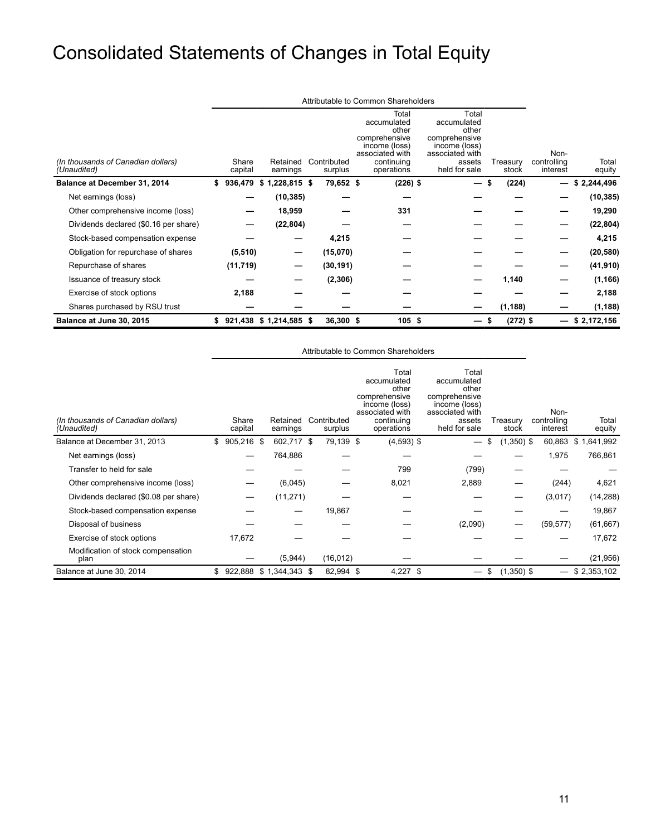# Consolidated Statements of Changes in Total Equity

|                                                   |                  |                          |                        | Attributable to Common Shareholders                              |                                            |                                                                                                               |    |                   |                                 |                 |
|---------------------------------------------------|------------------|--------------------------|------------------------|------------------------------------------------------------------|--------------------------------------------|---------------------------------------------------------------------------------------------------------------|----|-------------------|---------------------------------|-----------------|
| (In thousands of Canadian dollars)<br>(Unaudited) | Share<br>capital | Retained<br>earnings     | Contributed<br>surplus | accumulated<br>comprehensive<br>income (loss)<br>associated with | Total<br>other<br>continuing<br>operations | Total<br>accumulated<br>other<br>comprehensive<br>income (loss)<br>associated with<br>assets<br>held for sale |    | Treasury<br>stock | Non-<br>controlling<br>interest | Total<br>equity |
| Balance at December 31, 2014                      |                  | \$936,479\$1,228,815\$   | 79,652 \$              |                                                                  | $(226)$ \$                                 |                                                                                                               | -S | (224)             |                                 | \$2,244,496     |
| Net earnings (loss)                               |                  | (10, 385)                |                        |                                                                  |                                            |                                                                                                               |    |                   |                                 | (10, 385)       |
| Other comprehensive income (loss)                 |                  | 18,959                   |                        |                                                                  | 331                                        |                                                                                                               |    |                   | -                               | 19,290          |
| Dividends declared (\$0.16 per share)             |                  | (22, 804)                |                        |                                                                  |                                            |                                                                                                               |    |                   |                                 | (22, 804)       |
| Stock-based compensation expense                  |                  |                          | 4,215                  |                                                                  |                                            |                                                                                                               |    |                   |                                 | 4,215           |
| Obligation for repurchase of shares               | (5, 510)         |                          | (15,070)               |                                                                  |                                            |                                                                                                               |    |                   |                                 | (20, 580)       |
| Repurchase of shares                              | (11, 719)        | –                        | (30, 191)              |                                                                  |                                            |                                                                                                               |    |                   | -                               | (41, 910)       |
| Issuance of treasury stock                        |                  |                          | (2,306)                |                                                                  |                                            |                                                                                                               |    | 1,140             |                                 | (1, 166)        |
| Exercise of stock options                         | 2,188            |                          |                        |                                                                  |                                            |                                                                                                               |    |                   |                                 | 2,188           |
| Shares purchased by RSU trust                     |                  |                          |                        |                                                                  |                                            |                                                                                                               |    | (1, 188)          |                                 | (1, 188)        |
| Balance at June 30, 2015                          |                  | \$921,438 \$1,214,585 \$ | $36,300$ \$            |                                                                  | 105S                                       |                                                                                                               |    | $(272)$ \$        |                                 | \$2,172,156     |

|                                                   | Attributable to Common Shareholders |                  |  |                      |                        |  |                                                                                                                |                                                                                                               |    |                   |                                 |                 |
|---------------------------------------------------|-------------------------------------|------------------|--|----------------------|------------------------|--|----------------------------------------------------------------------------------------------------------------|---------------------------------------------------------------------------------------------------------------|----|-------------------|---------------------------------|-----------------|
| (In thousands of Canadian dollars)<br>(Unaudited) |                                     | Share<br>capital |  | Retained<br>earnings | Contributed<br>surplus |  | Total<br>accumulated<br>other<br>comprehensive<br>income (loss)<br>associated with<br>continuing<br>operations | Total<br>accumulated<br>other<br>comprehensive<br>income (loss)<br>associated with<br>assets<br>held for sale |    | Treasury<br>stock | Non-<br>controlling<br>interest | Total<br>equity |
| Balance at December 31, 2013                      | \$                                  | 905,216 \$       |  | 602,717 \$           | 79,139 \$              |  | $(4,593)$ \$                                                                                                   |                                                                                                               | \$ | $(1,350)$ \$      | 60,863                          | \$1,641,992     |
| Net earnings (loss)                               |                                     |                  |  | 764,886              |                        |  |                                                                                                                |                                                                                                               |    |                   | 1,975                           | 766,861         |
| Transfer to held for sale                         |                                     |                  |  |                      |                        |  | 799                                                                                                            | (799)                                                                                                         |    |                   |                                 |                 |
| Other comprehensive income (loss)                 |                                     |                  |  | (6,045)              |                        |  | 8,021                                                                                                          | 2,889                                                                                                         |    |                   | (244)                           | 4,621           |
| Dividends declared (\$0.08 per share)             |                                     |                  |  | (11, 271)            |                        |  |                                                                                                                |                                                                                                               |    |                   | (3,017)                         | (14, 288)       |
| Stock-based compensation expense                  |                                     |                  |  |                      | 19,867                 |  |                                                                                                                |                                                                                                               |    |                   |                                 | 19,867          |
| Disposal of business                              |                                     |                  |  |                      |                        |  |                                                                                                                | (2,090)                                                                                                       |    |                   | (59, 577)                       | (61, 667)       |
| Exercise of stock options                         |                                     | 17,672           |  |                      |                        |  |                                                                                                                |                                                                                                               |    |                   |                                 | 17,672          |
| Modification of stock compensation<br>plan        |                                     |                  |  | (5,944)              | (16, 012)              |  |                                                                                                                |                                                                                                               |    |                   |                                 | (21, 956)       |
| Balance at June 30, 2014                          | \$                                  | 922,888          |  | $$1,344,343$ \$      | 82,994 \$              |  | $4,227$ \$                                                                                                     |                                                                                                               | \$ | $(1,350)$ \$      | —                               | \$2,353,102     |

11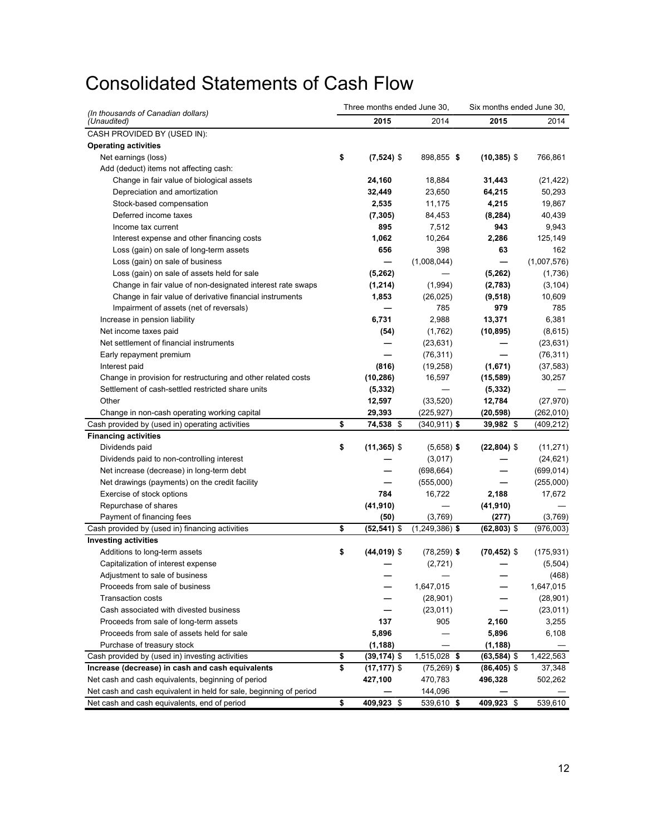## Consolidated Statements of Cash Flow

| (In thousands of Canadian dollars)                                 | Three months ended June 30. |                  | Six months ended June 30. |             |  |
|--------------------------------------------------------------------|-----------------------------|------------------|---------------------------|-------------|--|
| (Unaudited)                                                        | 2015                        | 2014             | 2015                      | 2014        |  |
| CASH PROVIDED BY (USED IN):                                        |                             |                  |                           |             |  |
| <b>Operating activities</b>                                        |                             |                  |                           |             |  |
| Net earnings (loss)                                                | \$<br>$(7,524)$ \$          | 898,855 \$       | $(10, 385)$ \$            | 766,861     |  |
| Add (deduct) items not affecting cash:                             |                             |                  |                           |             |  |
| Change in fair value of biological assets                          | 24,160                      | 18,884           | 31,443                    | (21, 422)   |  |
| Depreciation and amortization                                      | 32,449                      | 23,650           | 64,215                    | 50,293      |  |
| Stock-based compensation                                           | 2,535                       | 11,175           | 4,215                     | 19,867      |  |
| Deferred income taxes                                              | (7, 305)                    | 84,453           | (8, 284)                  | 40,439      |  |
| Income tax current                                                 | 895                         | 7,512            | 943                       | 9,943       |  |
| Interest expense and other financing costs                         | 1,062                       | 10,264           | 2,286                     | 125,149     |  |
| Loss (gain) on sale of long-term assets                            | 656                         | 398              | 63                        | 162         |  |
| Loss (gain) on sale of business                                    |                             | (1,008,044)      |                           | (1,007,576) |  |
| Loss (gain) on sale of assets held for sale                        | (5,262)                     |                  | (5, 262)                  | (1,736)     |  |
| Change in fair value of non-designated interest rate swaps         | (1, 214)                    | (1,994)          | (2,783)                   | (3, 104)    |  |
| Change in fair value of derivative financial instruments           | 1,853                       | (26, 025)        | (9, 518)                  | 10,609      |  |
| Impairment of assets (net of reversals)                            |                             | 785              | 979                       | 785         |  |
| Increase in pension liability                                      | 6,731                       | 2,988            | 13,371                    | 6,381       |  |
| Net income taxes paid                                              | (54)                        | (1,762)          | (10, 895)                 | (8,615)     |  |
| Net settlement of financial instruments                            |                             | (23, 631)        |                           | (23, 631)   |  |
| Early repayment premium                                            |                             | (76, 311)        |                           | (76, 311)   |  |
| Interest paid                                                      | (816)                       | (19,258)         | (1,671)                   | (37, 583)   |  |
| Change in provision for restructuring and other related costs      | (10, 286)                   | 16,597           | (15, 589)                 | 30,257      |  |
| Settlement of cash-settled restricted share units                  | (5, 332)                    |                  | (5, 332)                  |             |  |
| Other                                                              | 12,597                      | (33, 520)        | 12,784                    | (27, 970)   |  |
| Change in non-cash operating working capital                       | 29,393                      | (225, 927)       | (20, 598)                 | (262, 010)  |  |
| Cash provided by (used in) operating activities                    | \$<br>74,538 \$             | $(340, 911)$ \$  | 39,982 \$                 | (409, 212)  |  |
| <b>Financing activities</b>                                        |                             |                  |                           |             |  |
| Dividends paid                                                     | \$<br>$(11, 365)$ \$        | $(5,658)$ \$     | $(22, 804)$ \$            | (11, 271)   |  |
| Dividends paid to non-controlling interest                         |                             | (3,017)          |                           | (24, 621)   |  |
| Net increase (decrease) in long-term debt                          |                             | (698, 664)       |                           | (699, 014)  |  |
| Net drawings (payments) on the credit facility                     |                             | (555,000)        |                           | (255,000)   |  |
| Exercise of stock options                                          | 784                         | 16,722           | 2,188                     | 17,672      |  |
| Repurchase of shares                                               | (41, 910)                   |                  | (41, 910)                 |             |  |
| Payment of financing fees                                          | (50)                        | (3,769)          | (277)                     | (3,769)     |  |
| Cash provided by (used in) financing activities                    | \$<br>$(52, 541)$ \$        | $(1,249,386)$ \$ | $(62, 803)$ \$            | (976,003)   |  |
| <b>Investing activities</b>                                        |                             |                  |                           |             |  |
| Additions to long-term assets                                      | \$<br>$(44, 019)$ \$        | $(78, 259)$ \$   | $(70, 452)$ \$            | (175, 931)  |  |
| Capitalization of interest expense                                 |                             | (2,721)          |                           | (5,504)     |  |
| Adjustment to sale of business                                     |                             |                  |                           | (468)       |  |
| Proceeds from sale of business                                     |                             | 1,647,015        |                           | 1,647,015   |  |
| <b>Transaction costs</b>                                           |                             | (28, 901)        |                           | (28, 901)   |  |
| Cash associated with divested business                             |                             | (23,011)         |                           | (23, 011)   |  |
| Proceeds from sale of long-term assets                             | 137                         | 905              | 2,160                     | 3,255       |  |
| Proceeds from sale of assets held for sale                         | 5,896                       |                  | 5,896                     | 6,108       |  |
| Purchase of treasury stock                                         | (1, 188)                    |                  | (1, 188)                  |             |  |
| Cash provided by (used in) investing activities                    | \$<br>$(39, 174)$ \$        | 1,515,028 \$     | $(63, 584)$ \$            | 1,422,563   |  |
| Increase (decrease) in cash and cash equivalents                   | \$<br>$(17, 177)$ \$        | $(75,269)$ \$    | $(86, 405)$ \$            | 37,348      |  |
| Net cash and cash equivalents, beginning of period                 | 427,100                     | 470,783          | 496,328                   | 502,262     |  |
| Net cash and cash equivalent in held for sale, beginning of period |                             | 144,096          |                           |             |  |
| Net cash and cash equivalents, end of period                       | \$<br>409,923 \$            | 539,610 \$       | 409,923 \$                | 539,610     |  |